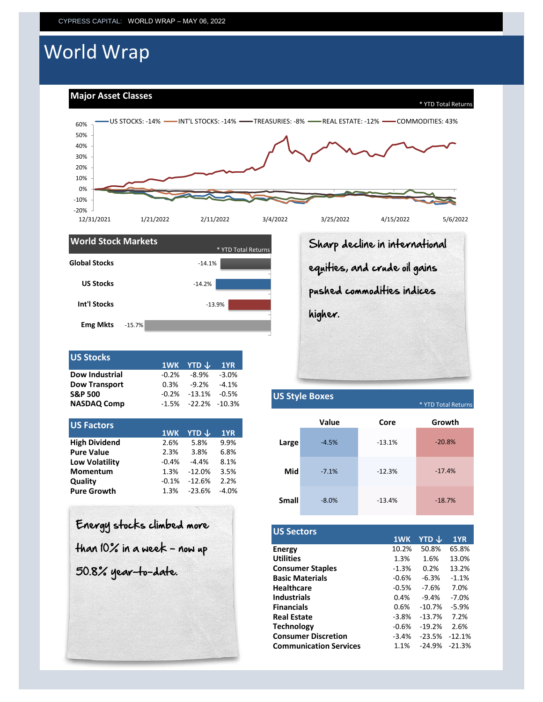# World Wrap

**Major Asset Classes**





| <b>US Stocks</b>      |      | 1WK YTD $\downarrow$ 1YR     |          |
|-----------------------|------|------------------------------|----------|
| <b>Dow Industrial</b> |      | $-0.2\% -8.9\%$              | $-3.0\%$ |
| <b>Dow Transport</b>  | 0.3% | $-9.2\%$ $-4.1\%$            |          |
| <b>S&amp;P 500</b>    |      | $-0.2\% -13.1\% -0.5\%$      |          |
| <b>NASDAQ Comp</b>    |      | $-1.5\%$ $-22.2\%$ $-10.3\%$ |          |

| <b>US Factors</b>     |         |                         |         |
|-----------------------|---------|-------------------------|---------|
|                       | 1WK     | <b>YTD</b> $\downarrow$ | 1YR     |
| <b>High Dividend</b>  | 2.6%    | 5.8%                    | 9.9%    |
| <b>Pure Value</b>     | 2.3%    | 3.8%                    | 6.8%    |
| <b>Low Volatility</b> | $-0.4%$ | $-4.4%$                 | 8.1%    |
| <b>Momentum</b>       | 1.3%    | $-12.0%$                | 3.5%    |
| Quality               | $-0.1%$ | $-12.6%$                | 2.2%    |
| <b>Pure Growth</b>    | 1.3%    | $-23.6%$                | $-4.0%$ |

| Energy stocks climbed more<br>$H$ han 10% in a wee $k$ - now up |
|-----------------------------------------------------------------|
| 50.8% year-to-date.                                             |
|                                                                 |

Sharp decline in international equities, and crude oil gains pushed commodities indices higher.

## **US Style Boxes**

\* YTD Total Returns

|              | Value   | Core     | Growth   |
|--------------|---------|----------|----------|
| Large        | $-4.5%$ | $-13.1%$ | $-20.8%$ |
| Mid          | $-7.1%$ | $-12.3%$ | $-17.4%$ |
| <b>Small</b> | $-8.0%$ | $-13.4%$ | $-18.7%$ |

| <b>US Sectors</b>             |         |          |          |
|-------------------------------|---------|----------|----------|
|                               | 1WK     | YTD J    | 1YR      |
| Energy                        | 10.2%   | 50.8%    | 65.8%    |
| <b>Utilities</b>              | 1.3%    | 1.6%     | 13.0%    |
| <b>Consumer Staples</b>       | $-1.3%$ | 0.2%     | 13.2%    |
| <b>Basic Materials</b>        | $-0.6%$ | $-6.3%$  | $-1.1%$  |
| <b>Healthcare</b>             | $-0.5%$ | $-7.6%$  | 7.0%     |
| <b>Industrials</b>            | 0.4%    | $-9.4%$  | $-7.0%$  |
| <b>Financials</b>             | 0.6%    | $-10.7%$ | $-5.9%$  |
| <b>Real Estate</b>            | $-3.8%$ | $-13.7%$ | 7.2%     |
| <b>Technology</b>             | $-0.6%$ | $-19.2%$ | 2.6%     |
| <b>Consumer Discretion</b>    | $-3.4%$ | $-23.5%$ | $-12.1%$ |
| <b>Communication Services</b> | 1.1%    | $-24.9%$ | $-21.3%$ |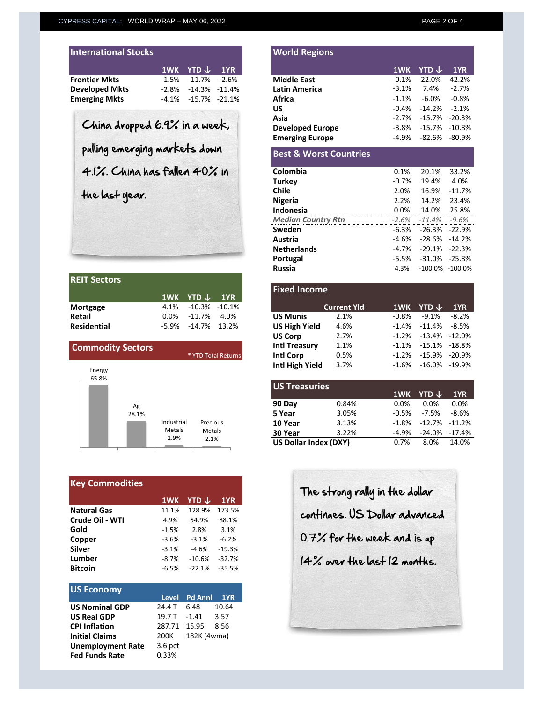**Russia** 4.3% -100.0% -100.0%

| <b>International Stocks</b> |                              |  |
|-----------------------------|------------------------------|--|
|                             | $1$ WK YTD $\downarrow$ 1YR  |  |
| <b>Frontier Mkts</b>        | $-1.5\%$ $-11.7\%$ $-2.6\%$  |  |
| <b>Developed Mkts</b>       | $-2.8\% -14.3\% -11.4\%$     |  |
| <b>Emerging Mkts</b>        | $-4.1\%$ $-15.7\%$ $-21.1\%$ |  |

| <b>IREIT Sectors</b> |                           |  |
|----------------------|---------------------------|--|
|                      | 1WK YTD $\downarrow$ 1YR  |  |
| Mortgage             | 4.1% -10.3% -10.1%        |  |
| <b>Retail</b>        | $0.0\%$ $-11.7\%$ $4.0\%$ |  |
| <b>Residential</b>   | $-5.9\%$ $-14.7\%$ 13.2%  |  |

| <b>Commodity Sectors</b> |                              | * YTD Total Returns        |
|--------------------------|------------------------------|----------------------------|
| Energy<br>65.8%          |                              |                            |
| Ag<br>28.1%              |                              |                            |
|                          | Industrial<br>Metals<br>2.9% | Precious<br>Metals<br>2.1% |

| <b>Key Commodities</b> |         |          |          |  |  |  |  |
|------------------------|---------|----------|----------|--|--|--|--|
|                        | 1WK     | YTD J    | 1YR      |  |  |  |  |
| <b>Natural Gas</b>     | 11.1%   | 128.9%   | 173.5%   |  |  |  |  |
| Crude Oil - WTI        | 4.9%    | 54.9%    | 88.1%    |  |  |  |  |
| Gold                   | $-1.5%$ | 2.8%     | 3.1%     |  |  |  |  |
| Copper                 | $-3.6%$ | $-3.1%$  | $-6.2%$  |  |  |  |  |
| <b>Silver</b>          | $-3.1%$ | $-4.6%$  | $-19.3%$ |  |  |  |  |
| Lumber                 | $-8.7%$ | $-10.6%$ | $-32.7%$ |  |  |  |  |
| <b>Bitcoin</b>         | $-6.5%$ | $-22.1%$ | $-35.5%$ |  |  |  |  |

| <b>US Economy</b>        |              |                    |       |
|--------------------------|--------------|--------------------|-------|
|                          |              | Level Pd Annl 1YR  |       |
| <b>US Nominal GDP</b>    | 24.4 T       | - 6.48             | 10.64 |
| <b>US Real GDP</b>       |              | 19.7 T - 1.41 3.57 |       |
| <b>CPI Inflation</b>     | 287.71 15.95 |                    | 8.56  |
| <b>Initial Claims</b>    | 200K         | 182K (4wma)        |       |
| <b>Unemployment Rate</b> | $3.6$ pct    |                    |       |
| <b>Fed Funds Rate</b>    | 0.33%        |                    |       |

|                                      | 1WK     | YTD ↓             | 1YR       |                                   | 1WK      | YTD $\bm{\downarrow}$ |          |
|--------------------------------------|---------|-------------------|-----------|-----------------------------------|----------|-----------------------|----------|
| Frontier Mkts                        | $-1.5%$ | $-11.7\%$         | $-2.6%$   | <b>Middle East</b>                | $-0.1\%$ | 22.0%                 | 42.2%    |
| Developed Mkts                       | $-2.8%$ | -14.3%            | $-11.4\%$ | Latin America                     | $-3.1%$  | 7.4%                  |          |
| Emerging Mkts                        | $-4.1%$ | $-15.7\% -21.1\%$ |           | Africa                            | $-1.1%$  | $-6.0%$               |          |
|                                      |         |                   |           | US                                | $-0.4%$  | $-14.2%$              |          |
|                                      |         |                   |           | Asia                              | $-2.7%$  | $-15.7%$              | $-20.3%$ |
| China dropped 6.9% in a week,        |         |                   |           | <b>Developed Europe</b>           | -3.8%    | $-15.7%$              | $-10.8%$ |
|                                      |         |                   |           | <b>Emerging Europe</b>            | -4.9%    | -82.6%                | -80.9%   |
| pulling emerging markets down        |         |                   |           | <b>Best &amp; Worst Countries</b> |          |                       |          |
| $4.1\%$ . China has fallen $40\%$ in |         |                   |           | Colombia                          | 0.1%     | 20.1%                 | 33.2%    |
|                                      |         |                   |           | <b>Turkey</b>                     | $-0.7\%$ | 19.4%                 |          |
| the last year.                       |         |                   |           | <b>Chile</b>                      | 2.0%     | 16.9%                 | $-11.7%$ |
|                                      |         |                   |           | <b>Nigeria</b>                    | 2.2%     | 14.2%                 | 23.4%    |
|                                      |         |                   |           | Indonesia                         | 0.0%     | 14.0%                 | 25.8%    |
|                                      |         |                   |           | <b>Median Country Rtn</b>         | $-2.6%$  | $-11.4\%$             | -9.6%    |
|                                      |         |                   |           | Sweden                            | $-6.3%$  | $-26.3%$              | $-22.9%$ |

**Austria** -4.6% -28.6% -14.2%<br>**Netherlands** -4.7% -29.1% -22.3% **Netherlands** -4.7% -29.1% -22.3%<br>**Portugal** -5.5% -31.0% -25.8% **Portugal** -5.5% -31.0% -25.8%<br> **Russia** -100.0% -100.0%

**Fixed Income**

**World Regions**

| Mortgage                 | 4.1%    | -10.3%          | $-10.1%$            |                       | <b>Current Yld</b> |          | 1WK YTD $\downarrow$ | 1YR      |
|--------------------------|---------|-----------------|---------------------|-----------------------|--------------------|----------|----------------------|----------|
| <b>Retail</b>            | $0.0\%$ | $-11.7%$        | 4.0%                | <b>US Munis</b>       | 2.1%               | $-0.8%$  | $-9.1%$              | $-8.2%$  |
| <b>Residential</b>       | -5.9%   | $-14.7\%$ 13.2% |                     | <b>US High Yield</b>  | 4.6%               | $-1.4%$  | -11.4%               | $-8.5%$  |
|                          |         |                 |                     | <b>US Corp</b>        | 2.7%               | $-1.2%$  | $-13.4\% -12.0\%$    |          |
| <b>Commodity Sectors</b> |         |                 |                     | <b>Intl Treasury</b>  | 1.1%               | $-1.1\%$ | -15.1% -18.8%        |          |
|                          |         |                 | * YTD Total Returns | Intl Corp             | 0.5%               | $-1.2%$  | -15.9%               | $-20.9%$ |
| Energy                   |         |                 |                     | Intl High Yield       | 3.7%               | $-1.6%$  | $-16.0\% -19.9\%$    |          |
| 65.8%                    |         |                 |                     |                       |                    |          |                      |          |
|                          |         |                 |                     | <b>LIS Trascuriac</b> |                    |          |                      |          |

| <b>US Treasuries</b>         |       |          |                          |            |
|------------------------------|-------|----------|--------------------------|------------|
|                              |       |          | $1$ WK YTD $\downarrow$  | <b>1YR</b> |
| 90 Day                       | 0.84% | $0.0\%$  | $0.0\%$                  | 0.0%       |
| 5 Year                       | 3.05% | $-0.5\%$ | -7.5%                    | $-8.6%$    |
| 10 Year                      | 3.13% |          | $-1.8\% -12.7\% -11.2\%$ |            |
| 30 Year                      | 3.22% | -4.9%    | -24.0% -17.4%            |            |
| <b>US Dollar Index (DXY)</b> |       | $0.7\%$  | 8.0% 14.0%               |            |
|                              |       |          |                          |            |

The strong rally in the dollar continues. US Dollar advanced 0.7% for the week and is up 14% over the last 12 months.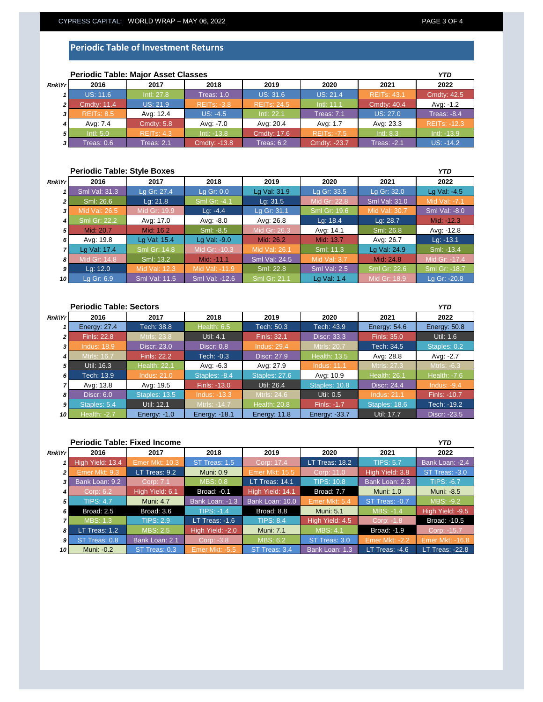### **Periodic Table of Investment Returns**

|                | <b>Periodic Table: Major Asset Classes</b> |                   |                    |                    |                    |                    |                     |
|----------------|--------------------------------------------|-------------------|--------------------|--------------------|--------------------|--------------------|---------------------|
| <b>Rnk\Yr</b>  | 2016                                       | 2017              | 2018               | 2019               | 2020               | 2021               | 2022                |
|                | <b>US: 11.6</b>                            | Intl: 27.8        | Treas: $1.0$       | <b>US: 31.6</b>    | <b>US: 21.4</b>    | <b>REITS: 43.1</b> | <b>Cmdty: 42.5</b>  |
| $\overline{2}$ | <b>Cmdty: 11.4</b>                         | <b>US: 21.9</b>   | <b>REITS: -3.8</b> | <b>REITs: 24.5</b> | Intl: 11.1         | <b>Cmdty: 40.4</b> | Avg: -1.2           |
| 3              | <b>REITS: 8.5</b>                          | Avg: 12.4         | $US: -4.5$         | Intl: 22.1         | <b>Treas: 7.1</b>  | <b>US: 27.0</b>    | Treas: $-8.4$       |
|                | Ava: 7.4                                   | <b>Cmdty: 5.8</b> | Avg: -7.0          | Avg: 20.4          | Avg: 1.7           | Avg: 23.3          | <b>REITS: -12.3</b> |
| 51             | Intl: 5.0                                  | <b>REITS: 4.3</b> | $Int: -13.8$       | <b>Cmdtv: 17.6</b> | <b>REITS: -7.5</b> | Intl: 8.3          | $Int: -13.9$        |
| 31             | Treas: 0.6                                 | Treas: 2.1        | Cmdty: -13.8       | Treas: $6.2$       | Cmdty: -23.7       | <b>Treas: -2.1</b> | $US: -14.2$         |

### **Periodic Table: Major Asset Classes**

#### **Periodic Table: Style Boxes** *Rnk\Yr 1 2 3 4 5 6 7 8 9 10* **2021 2022** Sml Val: 31.3 Sml Val: -8.0 Lg Gr: 27.4 Lg Gr: 0.0 Lg Val: 31.9 Lg Gr: 33.5 *YTD* **2016 2017 2018 2019 2020** Lg Gr: 32.0 | Lg Val: -4.5 Mid: -12.3 Mid Gr: 19.9 Sml: 26.6 Lg: 21.8 Sml Gr: -4.1 Lg: 31.5 Mid Gr: 22.8 Sml Val: 31.0 Sml: -8.5 Mid Gr: 26.3 Avg: 14.1 Lg: -4.4 Lg Gr: 31.1 Sml Gr: 19. Sml: 26.8 ml Gr: 22.2 Avg: 17.0 Avg: -8.0 Avg: 26.8 Lg: 18.4 Lg: 28.7 Avg: -12.8 Lg: -13.1 Lg Val: 24.9 **Sml: -13.4** Sml: 13.2 Mid: -11.1 Sml Val: 24.5 Mid Val: 3.7 Mid: 24.8 Mid Gr: -17.4 Lg Val: 17.4 Avg: 19.8 Lg Val: 15.4 Lg Val: -9.0 Mid: 26.2 Mid: 13.7 Avg: 26.7 Sml Gr: 14.8 Mid Gr: -10.3 Mid Val: 26.1 Sml: 11.3 Mid: 20.7 | Mid: 16.2 Mid Gr: 18.9 Lg Gr: -20.8 Lg: 12.0 Mid Val: 12.3 Mid Val: -11.9 Sml: 22.8 Sml Val: 2.5 Sml Gr: 22.6 Sml Gr: -18.7 Lg Gr: 6.9 Sml Val: 11.5 Sml Val: -12.6 Sml Gr: 21.1 Lg Val: 1.4

| <b>Periodic Table: Sectors</b> |                     |                     |                      |                     |                     |                     | <b>YTD</b>     |
|--------------------------------|---------------------|---------------------|----------------------|---------------------|---------------------|---------------------|----------------|
| <b>Rnk\Yr</b>                  | 2016                | 2017                | 2018                 | 2019                | 2020                | 2021                | 2022           |
|                                | <b>Energy: 27.4</b> | Tech: 38.8          | Health: 6.5          | Tech: 50.3          | Tech: 43.9          | Energy: $54.6$      | Energy: 50.8   |
| 2 <sub>1</sub>                 | <b>Finls: 22.8</b>  | Mtrls: 23.8         | Util: 4.1            | Finls: 32.1         | <b>Discr: 33.3</b>  | <b>Finls: 35.0</b>  | Util: 1.6      |
| 3                              | <b>Indus: 18.9</b>  | <b>Discr: 23.0</b>  | Discr: $0.8$         | <b>Indus: 29.4</b>  | <b>Mtrls: 20.7</b>  | Tech: 34.5          | Staples: 0.2   |
| 4                              | <b>Mtrls: 16.7</b>  | <b>Finls: 22.2</b>  | Tech: -0.3           | Discr: 27.9         | <b>Health: 13.5</b> | Avg: 28.8           | Avg: -2.7      |
| 5                              | Util: 16.3          | <b>Health: 22.1</b> | Avg: -6.3            | Avg: 27.9           | <b>Indus: 11.1</b>  | Mtrls: 27.3         | Mtrls: -6.3    |
| 6                              | Tech: 13.9          | <b>Indus: 21.0</b>  | Staples: -8.4        | Staples: 27.6       | Avg: 10.9           | <b>Health: 26.1</b> | Health: $-7.6$ |
|                                | Avg: 13.8           | Avg: 19.5           | Finls: -13.0         | Util: 26.4          | Staples: 10.8       | <b>Discr: 24.4</b>  | Indus: $-9.4$  |
| 8                              | Discr: $6.0$        | Staples: 13.5       | $Indus: -13.3$       | Mtrls: 24.6         | Util: 0.5           | <b>Indus: 21.1</b>  | Finls: -10.7   |
| $\mathbf{g}$                   | Staples: 5.4        | Util: 12.1          | Mtrls: -14.7         | <b>Health: 20.8</b> | Finls: -1.7         | Staples: 18.6       | Tech: -19.2    |
| 10                             | <b>Health: -2.7</b> | Energy: $-1.0$      | <b>Energy: -18.1</b> | Energy: 11.8        | Energy: -33.7       | Util: 17.7          | Discr: -23.5   |

#### **Periodic Table: Fixed Income** *Rnk\Yr 1 2 3 4 5 6 7 8 9 10* ST Treas: -3.0 High Yield: 13.4 *YTD* **2016 2017 2018 2019 2020 2021 2022** Bank Loan: -2.4 MBS: 0.8 **LT Treas: 14.1** TIPS: 10.8 ST Treas: 1.5 Corp: 17.4 LT Treas: 18.2 TIPS: 5. Bank Loan: 2.3 r Mkt: 9.3 LT Treas: 9.2 Muni: 0.9 Emer Mkt: 15.5 Corp: 11.0 High Yield: 3.8 TIPS: -6.7 Muni: -8.5 ST Treas: -0.7 MBS: -9.2 Broad: 2.5 Broad: 3.6 TIPS: -1.4 Broad: 8.8 Muni: 5.1 MBS: -1.4 High Yield: -9.5 TIPS: 4.7 High Yield: 6.1 Broad: -0.1 High Yield: 14.1 Broad: 7.7 Muni: 1.0 Muni: 4.7 Bank Loan: -1.3 Bank Loan: 10.0 Emer Mkt: 5. Bank Loan: 9.2 Corp: LT Treas: -1.6 TIPS: 8.4 High Yield: 4.5 Emer Mkt: -2.2 Broad: -10.5 Emer Mkt: -16.8 LT Treas: 1.2 MBS: 2.5 High Yield: -2.0 Muni: 7.1 MBS: 4.1 Broad: -1.9 Corp: -15.7 TIPS: 2.9 Muni: -0.2 ST Treas: 0.3 Emer Mkt: -5.5 ST Treas: 3.4 Bank Loan: 1.3 LT Treas: -4.6 LT Treas: -22.8 ST Treas: 0.8 | Bank Loan: 2.1 | Corp: -3.8 | MBS: 6.2 | ST Treas: 3.0